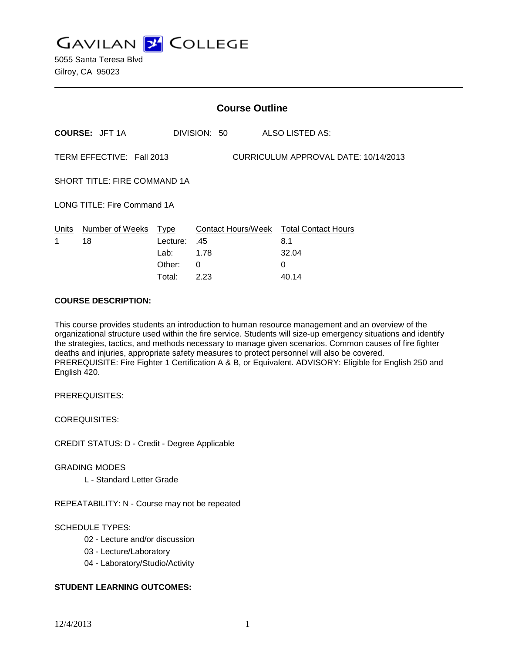**GAVILAN 2 COLLEGE** 

5055 Santa Teresa Blvd Gilroy, CA 95023

| <b>Course Outline</b>                                             |                                                         |                                                                      |
|-------------------------------------------------------------------|---------------------------------------------------------|----------------------------------------------------------------------|
|                                                                   |                                                         | ALSO LISTED AS:                                                      |
| CURRICULUM APPROVAL DATE: 10/14/2013<br>TERM EFFECTIVE: Fall 2013 |                                                         |                                                                      |
| <b>SHORT TITLE: FIRE COMMAND 1A</b>                               |                                                         |                                                                      |
| LONG TITLE: Fire Command 1A                                       |                                                         |                                                                      |
| Lab:<br>Other:                                                    | .45<br>1.78<br>0                                        | Contact Hours/Week Total Contact Hours<br>8.1<br>32.04<br>0<br>40.14 |
|                                                                   | <b>COURSE: JFT 1A</b><br>Number of Weeks Type<br>Total: | DIVISION: 50<br>Lecture:<br>2.23                                     |

### **COURSE DESCRIPTION:**

This course provides students an introduction to human resource management and an overview of the organizational structure used within the fire service. Students will size-up emergency situations and identify the strategies, tactics, and methods necessary to manage given scenarios. Common causes of fire fighter deaths and injuries, appropriate safety measures to protect personnel will also be covered. PREREQUISITE: Fire Fighter 1 Certification A & B, or Equivalent. ADVISORY: Eligible for English 250 and English 420.

PREREQUISITES:

COREQUISITES:

CREDIT STATUS: D - Credit - Degree Applicable

#### GRADING MODES

L - Standard Letter Grade

REPEATABILITY: N - Course may not be repeated

### SCHEDULE TYPES:

- 02 Lecture and/or discussion
- 03 Lecture/Laboratory
- 04 Laboratory/Studio/Activity

# **STUDENT LEARNING OUTCOMES:**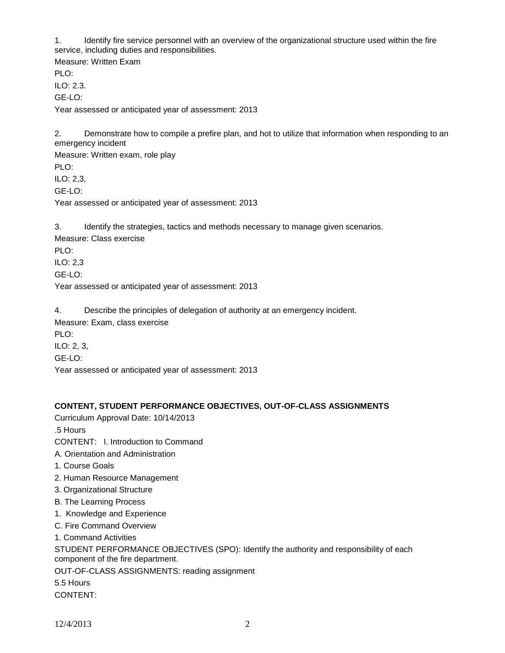1. Identify fire service personnel with an overview of the organizational structure used within the fire service, including duties and responsibilities.

Measure: Written Exam PLO: ILO: 2.3. GE-LO: Year assessed or anticipated year of assessment: 2013

2. Demonstrate how to compile a prefire plan, and hot to utilize that information when responding to an emergency incident

Measure: Written exam, role play PLO: ILO: 2,3, GE-LO:

Year assessed or anticipated year of assessment: 2013

3. Identify the strategies, tactics and methods necessary to manage given scenarios.

Measure: Class exercise

PLO:

ILO: 2,3

GE-LO:

Year assessed or anticipated year of assessment: 2013

4. Describe the principles of delegation of authority at an emergency incident.

Measure: Exam, class exercise

PLO:

ILO: 2, 3,

GE-LO:

Year assessed or anticipated year of assessment: 2013

## **CONTENT, STUDENT PERFORMANCE OBJECTIVES, OUT-OF-CLASS ASSIGNMENTS**

Curriculum Approval Date: 10/14/2013

.5 Hours

CONTENT: I. Introduction to Command

- A. Orientation and Administration
- 1. Course Goals
- 2. Human Resource Management
- 3. Organizational Structure
- B. The Learning Process
- 1. Knowledge and Experience
- C. Fire Command Overview
- 1. Command Activities

STUDENT PERFORMANCE OBJECTIVES (SPO): Identify the authority and responsibility of each component of the fire department.

OUT-OF-CLASS ASSIGNMENTS: reading assignment

5.5 Hours

CONTENT: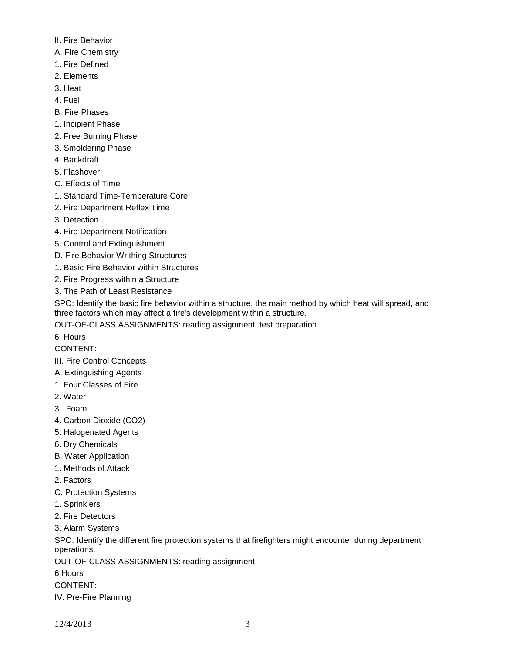- II. Fire Behavior
- A. Fire Chemistry
- 1. Fire Defined
- 2. Elements
- 3. Heat
- 4. Fuel
- B. Fire Phases
- 1. Incipient Phase
- 2. Free Burning Phase
- 3. Smoldering Phase
- 4. Backdraft
- 5. Flashover
- C. Effects of Time
- 1. Standard Time-Temperature Core
- 2. Fire Department Reflex Time
- 3. Detection
- 4. Fire Department Notification
- 5. Control and Extinguishment
- D. Fire Behavior Writhing Structures
- 1. Basic Fire Behavior within Structures
- 2. Fire Progress within a Structure
- 3. The Path of Least Resistance

SPO: Identify the basic fire behavior within a structure, the main method by which heat will spread, and three factors which may affect a fire's development within a structure.

OUT-OF-CLASS ASSIGNMENTS: reading assignment, test preparation

6 Hours

CONTENT:

- III. Fire Control Concepts
- A. Extinguishing Agents
- 1. Four Classes of Fire
- 2. Water
- 3. Foam
- 4. Carbon Dioxide (CO2)
- 5. Halogenated Agents
- 6. Dry Chemicals
- B. Water Application
- 1. Methods of Attack
- 2. Factors
- C. Protection Systems
- 1. Sprinklers
- 2. Fire Detectors
- 3. Alarm Systems

SPO: Identify the different fire protection systems that firefighters might encounter during department operations.

OUT-OF-CLASS ASSIGNMENTS: reading assignment

- 6 Hours
- CONTENT:
- IV. Pre-Fire Planning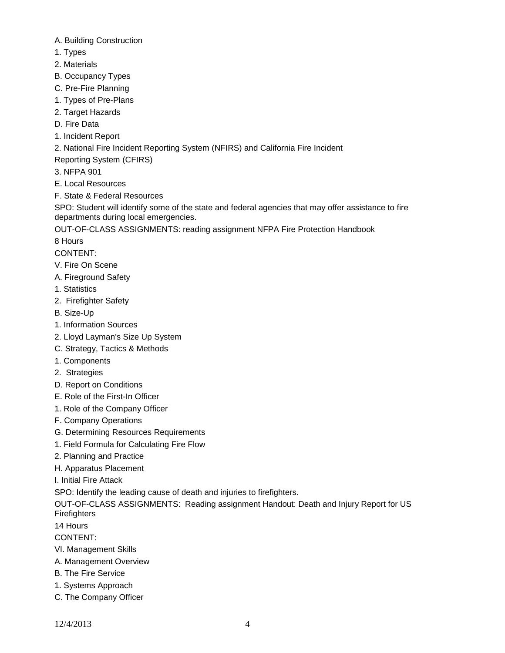- A. Building Construction
- 1. Types
- 2. Materials
- B. Occupancy Types
- C. Pre-Fire Planning
- 1. Types of Pre-Plans
- 2. Target Hazards
- D. Fire Data
- 1. Incident Report

2. National Fire Incident Reporting System (NFIRS) and California Fire Incident

Reporting System (CFIRS)

- 3. NFPA 901
- E. Local Resources
- F. State & Federal Resources

SPO: Student will identify some of the state and federal agencies that may offer assistance to fire departments during local emergencies.

OUT-OF-CLASS ASSIGNMENTS: reading assignment NFPA Fire Protection Handbook

8 Hours

CONTENT:

- V. Fire On Scene
- A. Fireground Safety
- 1. Statistics
- 2. Firefighter Safety
- B. Size-Up
- 1. Information Sources
- 2. Lloyd Layman's Size Up System
- C. Strategy, Tactics & Methods
- 1. Components
- 2. Strategies
- D. Report on Conditions
- E. Role of the First-In Officer
- 1. Role of the Company Officer
- F. Company Operations
- G. Determining Resources Requirements
- 1. Field Formula for Calculating Fire Flow
- 2. Planning and Practice
- H. Apparatus Placement

I. Initial Fire Attack

SPO: Identify the leading cause of death and injuries to firefighters.

OUT-OF-CLASS ASSIGNMENTS: Reading assignment Handout: Death and Injury Report for US **Firefighters** 

14 Hours

CONTENT:

- VI. Management Skills
- A. Management Overview
- B. The Fire Service
- 1. Systems Approach
- C. The Company Officer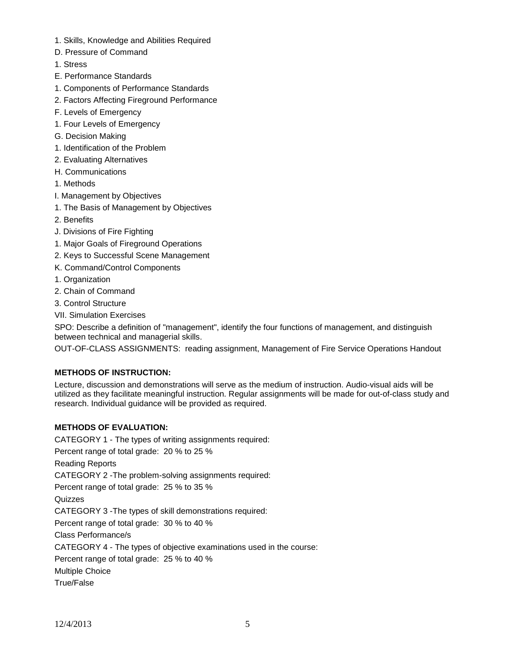- 1. Skills, Knowledge and Abilities Required
- D. Pressure of Command
- 1. Stress
- E. Performance Standards
- 1. Components of Performance Standards
- 2. Factors Affecting Fireground Performance
- F. Levels of Emergency
- 1. Four Levels of Emergency
- G. Decision Making
- 1. Identification of the Problem
- 2. Evaluating Alternatives
- H. Communications
- 1. Methods
- I. Management by Objectives
- 1. The Basis of Management by Objectives
- 2. Benefits
- J. Divisions of Fire Fighting
- 1. Major Goals of Fireground Operations
- 2. Keys to Successful Scene Management
- K. Command/Control Components
- 1. Organization
- 2. Chain of Command
- 3. Control Structure
- VII. Simulation Exercises

SPO: Describe a definition of "management", identify the four functions of management, and distinguish between technical and managerial skills.

OUT-OF-CLASS ASSIGNMENTS: reading assignment, Management of Fire Service Operations Handout

# **METHODS OF INSTRUCTION:**

Lecture, discussion and demonstrations will serve as the medium of instruction. Audio-visual aids will be utilized as they facilitate meaningful instruction. Regular assignments will be made for out-of-class study and research. Individual guidance will be provided as required.

# **METHODS OF EVALUATION:**

CATEGORY 1 - The types of writing assignments required: Percent range of total grade: 20 % to 25 % Reading Reports CATEGORY 2 -The problem-solving assignments required: Percent range of total grade: 25 % to 35 % **Quizzes** CATEGORY 3 -The types of skill demonstrations required: Percent range of total grade: 30 % to 40 % Class Performance/s CATEGORY 4 - The types of objective examinations used in the course: Percent range of total grade: 25 % to 40 % Multiple Choice True/False